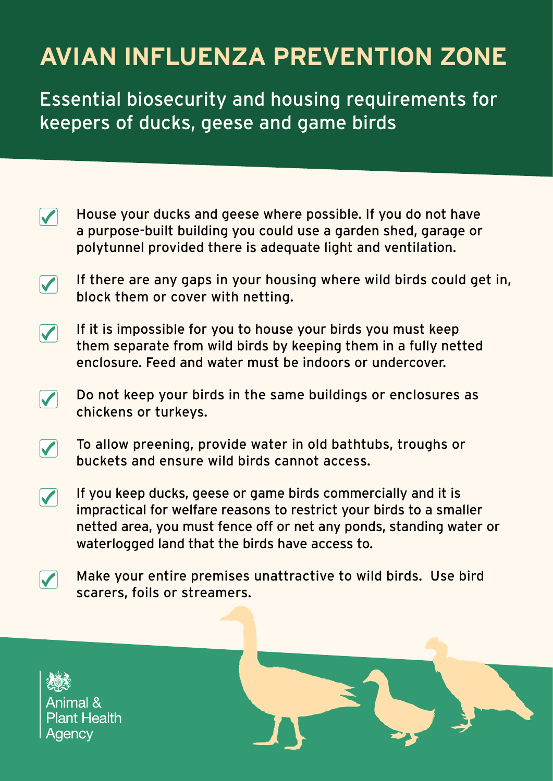## **AVIAN INFLUENZA PREVENTION ZONE**

Essential biosecurity and housing requirements for keepers of ducks, geese and game birds

- House your ducks and geese where possible. If you do not have  $\blacktriangledown$ a purpose-built building you could use a garden shed, garage or polytunnel provided there is adequate light and ventilation.
- If there are any gaps in your housing where wild birds could get in,  $\overline{\mathbf{V}}$ block them or cover with netting.
- If it is impossible for you to house your birds you must keep  $\boldsymbol{\mathcal{U}}$ them separate from wild birds by keeping them in a fully netted enclosure. Feed and water must be indoors or undercover.
- Do not keep your birds in the same buildings or enclosures as  $\overline{\mathbf{V}}$ chickens or turkeys.
- To allow preening, provide water in old bathtubs, troughs or buckets and ensure wild birds cannot access.
- $\overline{\blacktriangledown}$ If you keep ducks, geese or game birds commercially and it is impractical for welfare reasons to restrict your birds to a smaller netted area, you must fence off or net any ponds, standing water or waterlogged land that the birds have access to.
- Make your entire premises unattractive to wild birds. Use bird  $\blacktriangledown$ scarers, foils or streamers.

Animal & **Plant Health** Aaencv